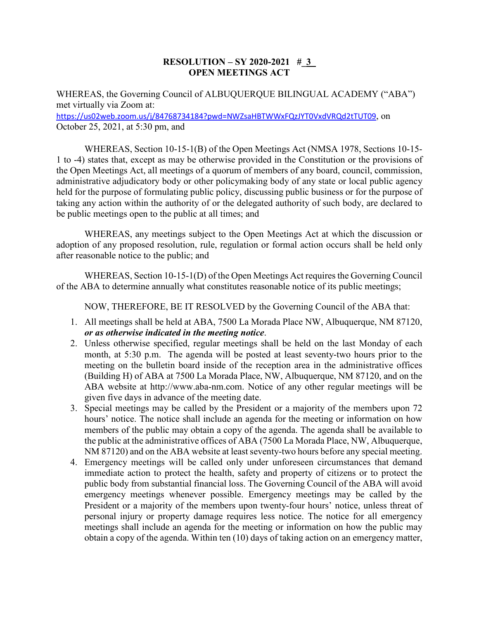#### **RESOLUTION – SY 2020-2021 #\_3\_ OPEN MEETINGS ACT**

WHEREAS, the Governing Council of ALBUQUERQUE BILINGUAL ACADEMY ("ABA") met virtually via Zoom at:

<https://us02web.zoom.us/j/84768734184?pwd=NWZsaHBTWWxFQzJYT0VxdVRQd2tTUT09>, on October 25, 2021, at 5:30 pm, and

WHEREAS, Section 10-15-1(B) of the Open Meetings Act (NMSA 1978, Sections 10-15- 1 to -4) states that, except as may be otherwise provided in the Constitution or the provisions of the Open Meetings Act, all meetings of a quorum of members of any board, council, commission, administrative adjudicatory body or other policymaking body of any state or local public agency held for the purpose of formulating public policy, discussing public business or for the purpose of taking any action within the authority of or the delegated authority of such body, are declared to be public meetings open to the public at all times; and

WHEREAS, any meetings subject to the Open Meetings Act at which the discussion or adoption of any proposed resolution, rule, regulation or formal action occurs shall be held only after reasonable notice to the public; and

WHEREAS, Section 10-15-1(D) of the Open Meetings Act requires the Governing Council of the ABA to determine annually what constitutes reasonable notice of its public meetings;

NOW, THEREFORE, BE IT RESOLVED by the Governing Council of the ABA that:

- 1. All meetings shall be held at ABA, 7500 La Morada Place NW, Albuquerque, NM 87120, *or as otherwise indicated in the meeting notice*.
- 2. Unless otherwise specified, regular meetings shall be held on the last Monday of each month, at 5:30 p.m. The agenda will be posted at least seventy-two hours prior to the meeting on the bulletin board inside of the reception area in the administrative offices (Building H) of ABA at 7500 La Morada Place, NW, Albuquerque, NM 87120, and on the ABA website at http://www.aba-nm.com. Notice of any other regular meetings will be given five days in advance of the meeting date.
- 3. Special meetings may be called by the President or a majority of the members upon 72 hours' notice. The notice shall include an agenda for the meeting or information on how members of the public may obtain a copy of the agenda. The agenda shall be available to the public at the administrative offices of ABA (7500 La Morada Place, NW, Albuquerque, NM 87120) and on the ABA website at least seventy-two hours before any special meeting.
- 4. Emergency meetings will be called only under unforeseen circumstances that demand immediate action to protect the health, safety and property of citizens or to protect the public body from substantial financial loss. The Governing Council of the ABA will avoid emergency meetings whenever possible. Emergency meetings may be called by the President or a majority of the members upon twenty-four hours' notice, unless threat of personal injury or property damage requires less notice. The notice for all emergency meetings shall include an agenda for the meeting or information on how the public may obtain a copy of the agenda. Within ten (10) days of taking action on an emergency matter,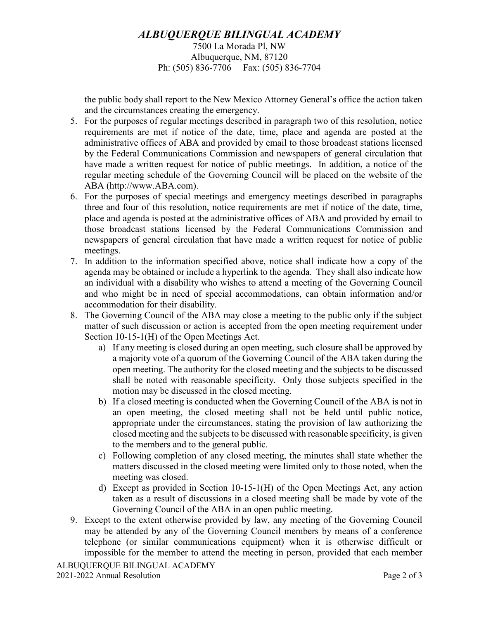### *ALBUQUERQUE BILINGUAL ACADEMY*

7500 La Morada Pl, NW Albuquerque, NM, 87120 Ph: (505) 836-7706 Fax: (505) 836-7704

the public body shall report to the New Mexico Attorney General's office the action taken and the circumstances creating the emergency.

- 5. For the purposes of regular meetings described in paragraph two of this resolution, notice requirements are met if notice of the date, time, place and agenda are posted at the administrative offices of ABA and provided by email to those broadcast stations licensed by the Federal Communications Commission and newspapers of general circulation that have made a written request for notice of public meetings. In addition, a notice of the regular meeting schedule of the Governing Council will be placed on the website of the ABA (http://www.ABA.com).
- 6. For the purposes of special meetings and emergency meetings described in paragraphs three and four of this resolution, notice requirements are met if notice of the date, time, place and agenda is posted at the administrative offices of ABA and provided by email to those broadcast stations licensed by the Federal Communications Commission and newspapers of general circulation that have made a written request for notice of public meetings.
- 7. In addition to the information specified above, notice shall indicate how a copy of the agenda may be obtained or include a hyperlink to the agenda. They shall also indicate how an individual with a disability who wishes to attend a meeting of the Governing Council and who might be in need of special accommodations, can obtain information and/or accommodation for their disability.
- 8. The Governing Council of the ABA may close a meeting to the public only if the subject matter of such discussion or action is accepted from the open meeting requirement under Section 10-15-1(H) of the Open Meetings Act.
	- a) If any meeting is closed during an open meeting, such closure shall be approved by a majority vote of a quorum of the Governing Council of the ABA taken during the open meeting. The authority for the closed meeting and the subjects to be discussed shall be noted with reasonable specificity. Only those subjects specified in the motion may be discussed in the closed meeting.
	- b) If a closed meeting is conducted when the Governing Council of the ABA is not in an open meeting, the closed meeting shall not be held until public notice, appropriate under the circumstances, stating the provision of law authorizing the closed meeting and the subjects to be discussed with reasonable specificity, is given to the members and to the general public.
	- c) Following completion of any closed meeting, the minutes shall state whether the matters discussed in the closed meeting were limited only to those noted, when the meeting was closed.
	- d) Except as provided in Section 10-15-1(H) of the Open Meetings Act, any action taken as a result of discussions in a closed meeting shall be made by vote of the Governing Council of the ABA in an open public meeting.
- 9. Except to the extent otherwise provided by law, any meeting of the Governing Council may be attended by any of the Governing Council members by means of a conference telephone (or similar communications equipment) when it is otherwise difficult or impossible for the member to attend the meeting in person, provided that each member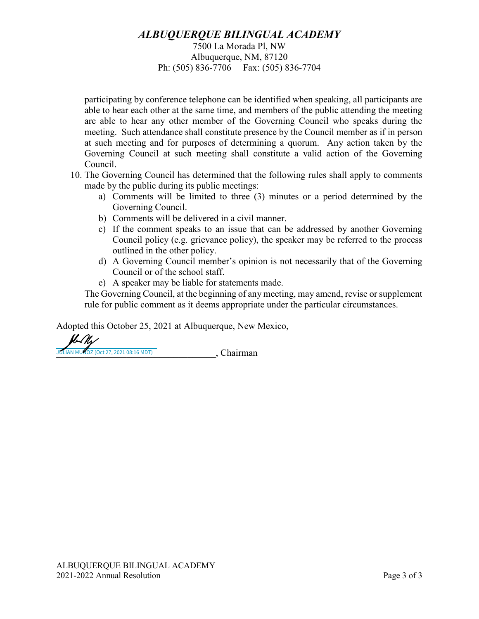### *ALBUQUERQUE BILINGUAL ACADEMY*

7500 La Morada Pl, NW Albuquerque, NM, 87120 Ph: (505) 836-7706 Fax: (505) 836-7704

participating by conference telephone can be identified when speaking, all participants are able to hear each other at the same time, and members of the public attending the meeting are able to hear any other member of the Governing Council who speaks during the meeting. Such attendance shall constitute presence by the Council member as if in person at such meeting and for purposes of determining a quorum. Any action taken by the Governing Council at such meeting shall constitute a valid action of the Governing Council.

- 10. The Governing Council has determined that the following rules shall apply to comments made by the public during its public meetings:
	- a) Comments will be limited to three (3) minutes or a period determined by the Governing Council.
	- b) Comments will be delivered in a civil manner.
	- c) If the comment speaks to an issue that can be addressed by another Governing Council policy (e.g. grievance policy), the speaker may be referred to the process outlined in the other policy.
	- d) A Governing Council member's opinion is not necessarily that of the Governing Council or of the school staff.
	- e) A speaker may be liable for statements made.

The Governing Council, at the beginning of any meeting, may amend, revise or supplement rule for public comment as it deems appropriate under the particular circumstances.

Adopted this October 25, 2021 at Albuquerque, New Mexico,

HAN \_\_\_\_\_\_\_\_\_\_\_\_\_\_\_\_, Chairman[\\_\\_\\_\\_\\_\\_\\_\\_\\_\\_\\_\\_\\_\\_\\_\\_\\_\\_](https://na1.documents.adobe.com/verifier?tx=CBJCHBCAABAAvh44HVJCzrAgMJEqHhK_W6ZnoG0ZwD58) JULIAN MUNOZ (Oct 27, 2021 08:16 MDT)